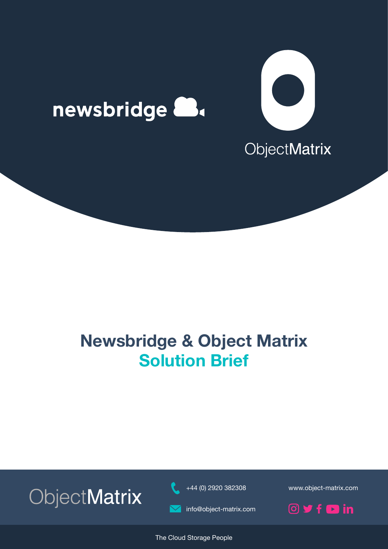





+44 (0) 2920 382308 www.object-matrix.com

ObjectMatrix

info@object-matrix.com

 $O$  y f  $O$  in

The Cloud Storage People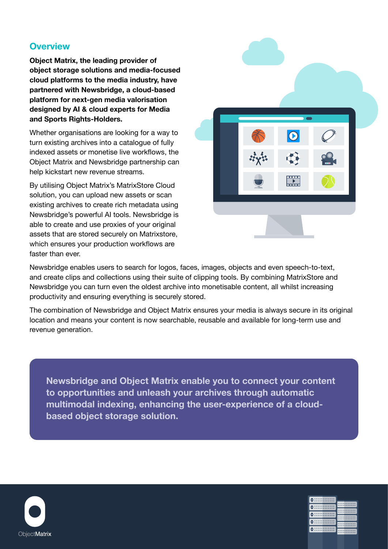# **Overview**

**Object Matrix, the leading provider of object storage solutions and media-focused cloud platforms to the media industry, have partnered with Newsbridge, a cloud-based platform for next-gen media valorisation designed by AI & cloud experts for Media and Sports Rights-Holders.**

Whether organisations are looking for a way to turn existing archives into a catalogue of fully indexed assets or monetise live workflows, the Object Matrix and Newsbridge partnership can help kickstart new revenue streams.

By utilising Object Matrix's MatrixStore Cloud solution, you can upload new assets or scan existing archives to create rich metadata using Newsbridge's powerful AI tools. Newsbridge is able to create and use proxies of your original assets that are stored securely on Matrixstore, which ensures your production workflows are faster than ever.



Newsbridge enables users to search for logos, faces, images, objects and even speech-to-text, and create clips and collections using their suite of clipping tools. By combining MatrixStore and Newsbridge you can turn even the oldest archive into monetisable content, all whilst increasing productivity and ensuring everything is securely stored.

The combination of Newsbridge and Object Matrix ensures your media is always secure in its original location and means your content is now searchable, reusable and available for long-term use and revenue generation.

**Newsbridge and Object Matrix enable you to connect your content to opportunities and unleash your archives through automatic multimodal indexing, enhancing the user-experience of a cloudbased object storage solution.**



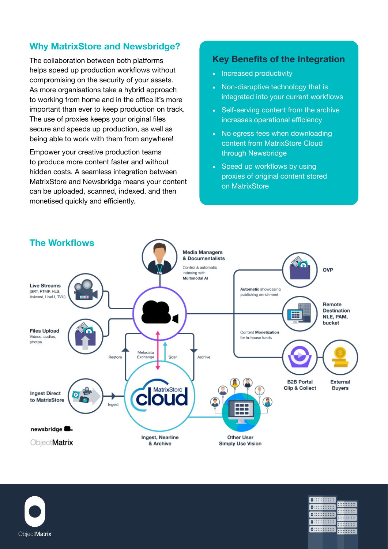# **Why MatrixStore and Newsbridge?**

The collaboration between both platforms helps speed up production workflows without compromising on the security of your assets. As more organisations take a hybrid approach to working from home and in the office it's more important than ever to keep production on track. The use of proxies keeps your original files secure and speeds up production, as well as being able to work with them from anywhere!

Empower your creative production teams to produce more content faster and without hidden costs. A seamless integration between MatrixStore and Newsbridge means your content can be uploaded, scanned, indexed, and then monetised quickly and efficiently.

## **Key Benefits of the Integration**

- Increased productivity
- Non-disruptive technology that is integrated into your current workflows
- Self-serving content from the archive increases operational efficiency
- No egress fees when downloading content from MatrixStore Cloud through Newsbridge
- Speed up workflows by using proxies of original content stored on MatrixStore

0:::::::::::::

0:::::::::::::

0:::::::::::::

0:::::::::::::

0 ::::::::::::::

**MANUTE** 

**MANUTE** 

**::::::::::::** 



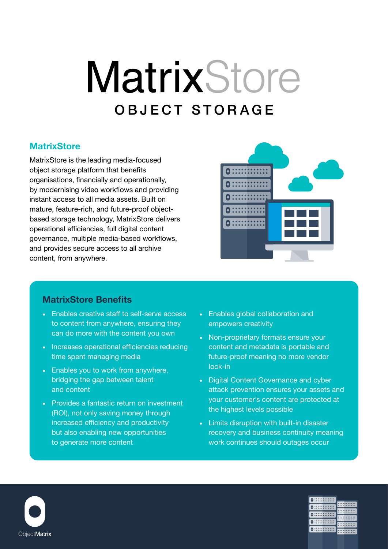# MatrixStore **OBJECT STORAGE**

# **MatrixStore**

MatrixStore is the leading media-focused object storage platform that benefits organisations, financially and operationally, by modernising video workflows and providing instant access to all media assets. Built on mature, feature-rich, and future-proof objectbased storage technology, MatrixStore delivers operational efficiencies, full digital content governance, multiple media-based workflows, and provides secure access to all archive content, from anywhere.



### **MatrixStore Benefits**

- Enables creative staff to self-serve access to content from anywhere, ensuring they can do more with the content you own
- Increases operational efficiencies reducing time spent managing media
- Enables you to work from anywhere, bridging the gap between talent and content
- Provides a fantastic return on investment (ROI), not only saving money through increased efficiency and productivity but also enabling new opportunities to generate more content
- Enables global collaboration and empowers creativity
- Non-proprietary formats ensure your content and metadata is portable and future-proof meaning no more vendor lock-in
- Digital Content Governance and cyber attack prevention ensures your assets and your customer's content are protected at the highest levels possible
- Limits disruption with built-in disaster recovery and business continuity meaning work continues should outages occur



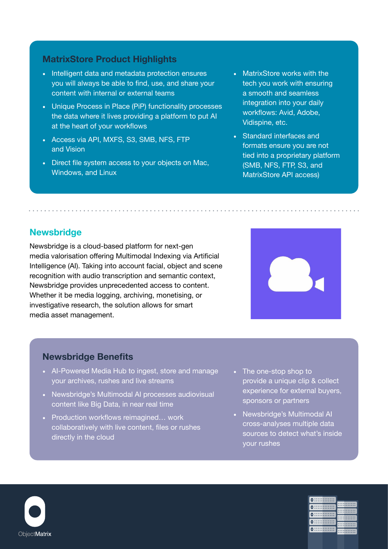# **MatrixStore Product Highlights**

- Intelligent data and metadata protection ensures you will always be able to find, use, and share your content with internal or external teams
- Unique Process in Place (PiP) functionality processes the data where it lives providing a platform to put AI at the heart of your workflows
- Access via API, MXFS, S3, SMB, NFS, FTP and Vision
- Direct file system access to your objects on Mac, Windows, and Linux
- MatrixStore works with the tech you work with ensuring a smooth and seamless integration into your daily workflows: Avid, Adobe, Vidispine, etc.
- Standard interfaces and formats ensure you are not tied into a proprietary platform (SMB, NFS, FTP, S3, and MatrixStore API access)

# **Newsbridge**

Newsbridge is a cloud-based platform for next-gen media valorisation offering Multimodal Indexing via Artificial Intelligence (AI). Taking into account facial, object and scene recognition with audio transcription and semantic context, Newsbridge provides unprecedented access to content. Whether it be media logging, archiving, monetising, or investigative research, the solution allows for smart media asset management.



#### **Newsbridge Benefits**

- AI-Powered Media Hub to ingest, store and manage your archives, rushes and live streams
- Newsbridge's Multimodal AI processes audiovisual content like Big Data, in near real time
- Production workflows reimagined… work collaboratively with live content, files or rushes directly in the cloud
- The one-stop shop to provide a unique clip & collect experience for external buyers, sponsors or partners
- Newsbridge's Multimodal AI cross-analyses multiple data sources to detect what's inside your rushes



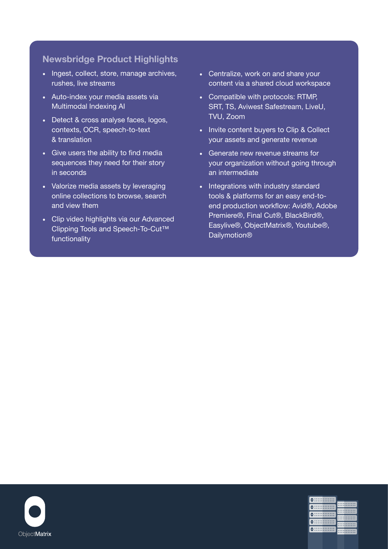# **Newsbridge Product Highlights**

- Ingest, collect, store, manage archives, rushes, live streams
- Auto-index your media assets via Multimodal Indexing AI
- Detect & cross analyse faces, logos, contexts, OCR, speech-to-text & translation
- Give users the ability to find media sequences they need for their story in seconds
- Valorize media assets by leveraging online collections to browse, search and view them
- Clip video highlights via our Advanced Clipping Tools and Speech-To-Cut™ functionality
- Centralize, work on and share your content via a shared cloud workspace
- Compatible with protocols: RTMP, SRT, TS, Aviwest Safestream, LiveU, TVU, Zoom
- Invite content buyers to Clip & Collect your assets and generate revenue
- Generate new revenue streams for your organization without going through an intermediate
- Integrations with industry standard tools & platforms for an easy end-toend production workflow: Avid®, Adobe Premiere®, Final Cut®, BlackBird®, Easylive®, ObjectMatrix®, Youtube®, **Dailymotion®**



| $\circ$        |  |
|----------------|--|
| $\circ$ :      |  |
| $\circ$ :      |  |
| $\bullet$ :::: |  |
| 0 : :          |  |